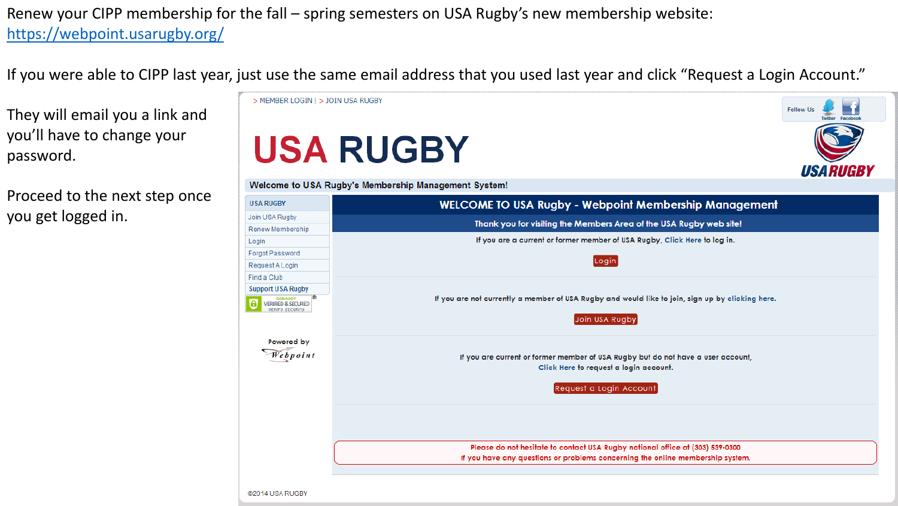Renew your CIPP membership for the fall – spring semesters on USA Rugby's new membership website: <https://webpoint.usarugby.org/>

If you were able to CIPP last year, just use the same email address that you used last year and click "Request a Login Account."

They will email you a link and you'll have to change your password.

Proceed to the next step once you get logged in.

|                                                         | <b>USA RUGBY</b>                                                                                                                                      | <b>USARUGBY</b> |
|---------------------------------------------------------|-------------------------------------------------------------------------------------------------------------------------------------------------------|-----------------|
|                                                         | Welcome to USA Rugby's Membership Management System!                                                                                                  |                 |
| <b>USA RUGBY</b>                                        | <b>WELCOME TO USA Rugby - Webpoint Membership Management</b>                                                                                          |                 |
| Join USA Rugby                                          | Thank you for visiting the Members Area of the USA Rugby web site!                                                                                    |                 |
| Renew Membership                                        | If you are a current or former member of USA Rugby, Click Here to log in.                                                                             |                 |
| Login<br>Forgot Password                                |                                                                                                                                                       |                 |
| Request A Login                                         | Login                                                                                                                                                 |                 |
| Find a Club                                             |                                                                                                                                                       |                 |
| <b>Support USA Rugby</b>                                |                                                                                                                                                       |                 |
| GODADDY<br>VERIFIED & SECURED<br><b>UERIFY SECURITY</b> | If you are not currently a member of USA Rugby and would like to join, sign up by clicking here.<br>Join USA Rugby                                    |                 |
| Powered by<br>Vebpoint                                  | If you are current or former member of USA Rugby but do not have a user account,<br>Click Here to request a login account.<br>Request a Login Account |                 |
|                                                         | Please do not hesitate to contact USA Rugby national office at (303) 539-0300                                                                         |                 |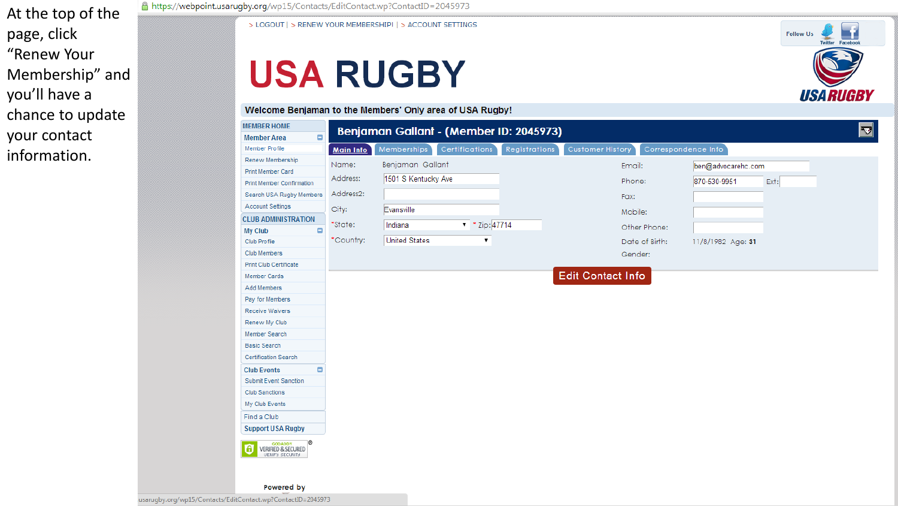At the top of the page, click "Renew Your Membership" and you'll have a chance to update your contact information.

A https://webpoint.usaruqby.org/wp15/Contacts/EditContact.wp?ContactID=2045973

> LOGOUT | > RENEW YOUR MEMBERSHIP! | > ACCOUNT SETTINGS

### **USA RUGBY**

#### Welcome Benjaman to the Members' Only area of USA Rugby!



ET.

**USARUGBY** 

**Follow Us** 

usarugby.org/wp15/Contacts/EditContact.wp?ContactID=2045973

Powered by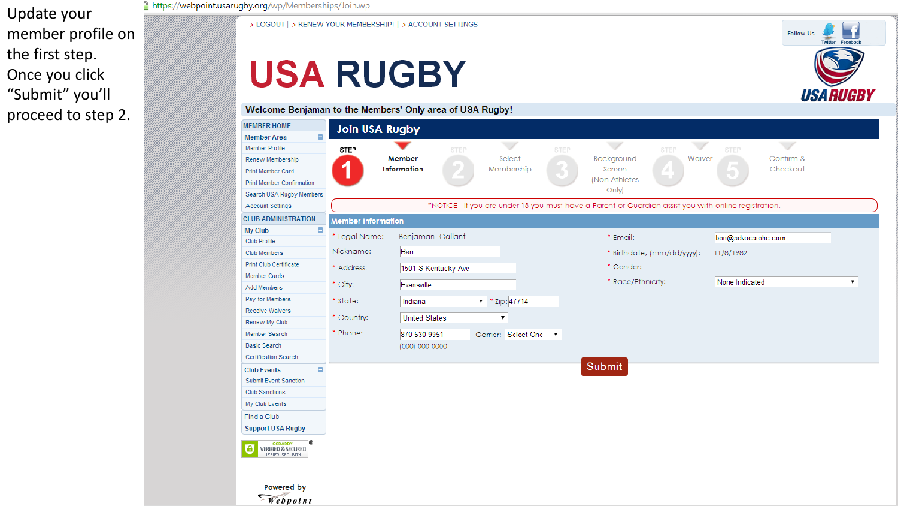Update your member profile on the first step. Once you click "Submit" you'll proceed to step 2.

#### https://webpoint.usarugby.org/wp/Memberships/Join.wp

> LOGOUT | > RENEW YOUR MEMBERSHIP! | > ACCOUNT SETTINGS

### **USA RUGBY**

Welcome Benjaman to the Members' Only area of USA Rugby!



**Follow Us** 

n.

Twitter Eaceboo

**USARUGBY**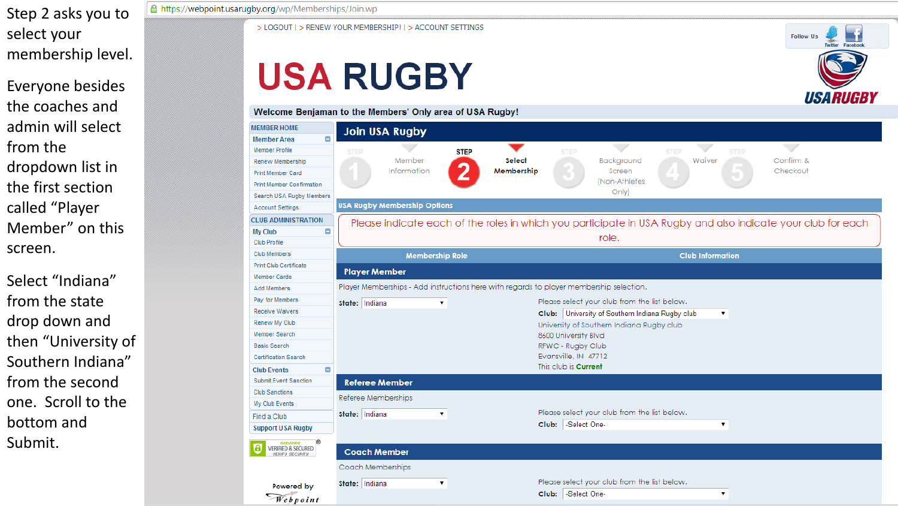Step 2 asks you to select your membership level.

Everyone besides the coaches and admin will select from the dropdown list in the first section called "Player Member" on this screen.

Select "Indiana" from the state drop down and then "University of Southern Indiana" from the second one. Scroll to the bottom and Submit.

### A https://webpoint.usarugby.org/wp/Memberships/Join.wp

> LOGOUT | > RENEW YOUR MEMBERSHIP! | > ACCOUNT SETTINGS

# **USA RUGBY**

Welcome Benjaman to the Members' Only area of USA Rugby!



**Follow Us** 

**USARUGBY**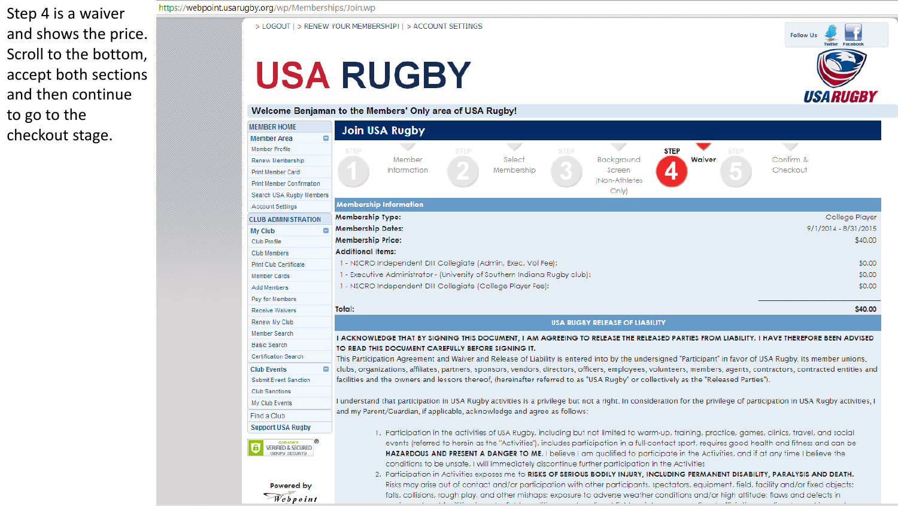Step 4 is a waiver and shows the price. Scroll to the bottom, accept both sections and then continue to go to the checkout stage.

https://webpoint.usarugby.org/wp/Memberships/Join.wp

> LOGOUT | > RENEW YOUR MEMBERSHIP! | > ACCOUNT SETTINGS

## **USA RUGBY**



| <b>MEMBER HOME</b>                                                        | <b>Join USA Rugby</b>                                                                                                                                                                                                                                                                                                                                                                                                                                                                                                                 |  |  |  |  |  |  |  |  |
|---------------------------------------------------------------------------|---------------------------------------------------------------------------------------------------------------------------------------------------------------------------------------------------------------------------------------------------------------------------------------------------------------------------------------------------------------------------------------------------------------------------------------------------------------------------------------------------------------------------------------|--|--|--|--|--|--|--|--|
| <b>Member Area</b>                                                        |                                                                                                                                                                                                                                                                                                                                                                                                                                                                                                                                       |  |  |  |  |  |  |  |  |
| Member Profile                                                            | $\overline{\phantom{a}}$<br>$\overline{\phantom{a}}$<br>$\overline{\phantom{a}}$<br><b>STEP</b><br><b>STEP</b><br><b>STEP</b><br><b>STEP</b><br><b>STEP</b>                                                                                                                                                                                                                                                                                                                                                                           |  |  |  |  |  |  |  |  |
| Renew Membership                                                          | Confirm &<br>Member<br>Select<br>Background<br>Waiver                                                                                                                                                                                                                                                                                                                                                                                                                                                                                 |  |  |  |  |  |  |  |  |
| Print Member Card                                                         | Information<br>Membership<br>Checkout<br>Screen<br>z                                                                                                                                                                                                                                                                                                                                                                                                                                                                                  |  |  |  |  |  |  |  |  |
| <b>Print Member Confirmation</b>                                          | (Non-Athletes                                                                                                                                                                                                                                                                                                                                                                                                                                                                                                                         |  |  |  |  |  |  |  |  |
| Search USA Rugby Members                                                  | Only)                                                                                                                                                                                                                                                                                                                                                                                                                                                                                                                                 |  |  |  |  |  |  |  |  |
| <b>Account Settings</b>                                                   | <b>Membership Information</b>                                                                                                                                                                                                                                                                                                                                                                                                                                                                                                         |  |  |  |  |  |  |  |  |
| <b>CLUB ADMINISTRATION</b>                                                | Membership Type:<br>College Player                                                                                                                                                                                                                                                                                                                                                                                                                                                                                                    |  |  |  |  |  |  |  |  |
| My Club                                                                   | 9/1/2014 - 8/31/2015<br><b>Membership Dates:</b>                                                                                                                                                                                                                                                                                                                                                                                                                                                                                      |  |  |  |  |  |  |  |  |
| Club Profile                                                              | <b>Membership Price:</b><br>\$40,00                                                                                                                                                                                                                                                                                                                                                                                                                                                                                                   |  |  |  |  |  |  |  |  |
| Club Members                                                              | <b>Additional Items:</b>                                                                                                                                                                                                                                                                                                                                                                                                                                                                                                              |  |  |  |  |  |  |  |  |
| Print Club Certificate                                                    | 1 - NSCRO Independent DIII Collegiate (Admin, Exec, Vol Fee):<br>\$0.00                                                                                                                                                                                                                                                                                                                                                                                                                                                               |  |  |  |  |  |  |  |  |
| <b>Member Cards</b>                                                       | 1 - Executive Administrator - (University of Southern Indiana Rugby club):<br>\$0.00                                                                                                                                                                                                                                                                                                                                                                                                                                                  |  |  |  |  |  |  |  |  |
| Add Members                                                               | 1 - NSCRO Independent DIII Collegiate (College Player Fee):<br>\$0.00                                                                                                                                                                                                                                                                                                                                                                                                                                                                 |  |  |  |  |  |  |  |  |
| Pay for Members                                                           |                                                                                                                                                                                                                                                                                                                                                                                                                                                                                                                                       |  |  |  |  |  |  |  |  |
| <b>Receive Waivers</b>                                                    | Total:<br>\$40.00                                                                                                                                                                                                                                                                                                                                                                                                                                                                                                                     |  |  |  |  |  |  |  |  |
| Renew My Club                                                             | <b>USA RUGBY RELEASE OF LIABILITY</b>                                                                                                                                                                                                                                                                                                                                                                                                                                                                                                 |  |  |  |  |  |  |  |  |
| Member Search                                                             | I ACKNOWLEDGE THAT BY SIGNING THIS DOCUMENT, I AM AGREEING TO RELEASE THE RELEASED PARTIES FROM LIABILITY. I HAVE THEREFORE BEEN ADVISED                                                                                                                                                                                                                                                                                                                                                                                              |  |  |  |  |  |  |  |  |
| <b>Basic Search</b>                                                       | TO READ THIS DOCUMENT CAREFULLY BEFORE SIGNING IT.                                                                                                                                                                                                                                                                                                                                                                                                                                                                                    |  |  |  |  |  |  |  |  |
| <b>Certification Search</b>                                               | This Participation Agreement and Waiver and Release of Liability is entered into by the undersigned "Participant" in favor of USA Rugby, its member unions,                                                                                                                                                                                                                                                                                                                                                                           |  |  |  |  |  |  |  |  |
| <b>Club Events</b><br>۸                                                   | clubs, organizations, affiliates, partners, sponsors, vendors, directors, officers, employees, volunteers, members, agents, contractors, contracted entities and                                                                                                                                                                                                                                                                                                                                                                      |  |  |  |  |  |  |  |  |
| Submit Event Sanction                                                     | facilities and the owners and lessors thereof, (hereinafter referred to as "USA Rugby" or collectively as the "Released Parties").                                                                                                                                                                                                                                                                                                                                                                                                    |  |  |  |  |  |  |  |  |
| <b>Club Sanctions</b>                                                     |                                                                                                                                                                                                                                                                                                                                                                                                                                                                                                                                       |  |  |  |  |  |  |  |  |
| My Club Events                                                            | I understand that participation in USA Rugby activities is a privilege but not a right. In consideration for the privilege of participation in USA Rugby activities, I                                                                                                                                                                                                                                                                                                                                                                |  |  |  |  |  |  |  |  |
| Find a Club                                                               | and my Parent/Guardian, if applicable, acknowledge and agree as follows:                                                                                                                                                                                                                                                                                                                                                                                                                                                              |  |  |  |  |  |  |  |  |
| <b>Support USA Rugby</b>                                                  |                                                                                                                                                                                                                                                                                                                                                                                                                                                                                                                                       |  |  |  |  |  |  |  |  |
| <b>GODADDY</b><br><b>VERIFIED &amp; SECURED</b><br><b>UERIFY SECURITY</b> | 1. Participation in the activities of USA Rugby, including but not limited to warm-up, training, practice, games, clinics, travel, and social<br>events (referred to herein as the "Activities"), includes participation in a full-contact sport, requires good health and fitness and can be<br>HAZARDOUS AND PRESENT A DANGER TO ME. I believe I am qualified to participate in the Activities, and if at any time I believe the<br>conditions to be unsafe, I will immediately discontinue further participation in the Activities |  |  |  |  |  |  |  |  |
| Powered by<br>Webpoint                                                    | 2. Participation in Activities exposes me to RISKS OF SERIOUS BODILY INJURY, INCLUDING PERMANENT DISABILITY, PARALYSIS AND DEATH.<br>Risks may arise out of contact and/or participation with other participants, spectators, equipment, field, facility and/or fixed objects;<br>falls, collisions, rough play, and other mishaps; exposure to adverse weather conditions and/or high altitude; flaws and defects in                                                                                                                 |  |  |  |  |  |  |  |  |

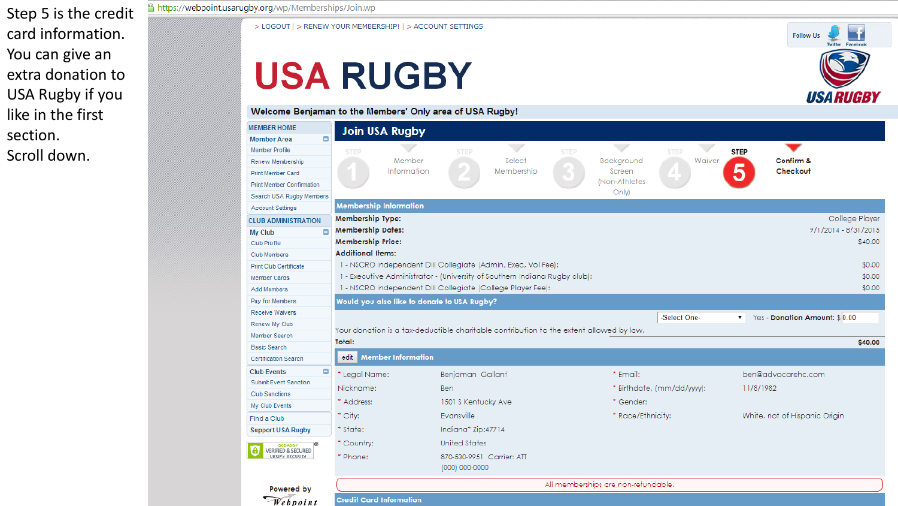Step 5 is the credit card information. You can give an extra donation to USA Rugby if you like in the first section.

Scroll down.

#### https://webpoint.usarugby.org/wp/Memberships/Join.wp

> LOGOUT | > RENEW YOUR MEMBERSHIP! | > ACCOUNT SETTINGS

# **USA RUGBY**

Welcome Benjaman to the Members' Only area of USA Rugby!

| <b>EMBER HOME</b>                            | <b>Join USA Rugby</b>                                                                   |                          |                             |             |                                         |                                                    |                         |                               |  |
|----------------------------------------------|-----------------------------------------------------------------------------------------|--------------------------|-----------------------------|-------------|-----------------------------------------|----------------------------------------------------|-------------------------|-------------------------------|--|
| ۸<br>lember Area                             |                                                                                         |                          |                             |             |                                         |                                                    |                         |                               |  |
| lember Profile                               | <b>STEP</b>                                                                             |                          | $\checkmark$<br><b>STEP</b> | <b>STEP</b> | $\overline{\phantom{a}}$                | <b>STEP</b>                                        | <b>STEP</b>             |                               |  |
| lenew Membership                             |                                                                                         | Member                   | Select                      |             | Background                              | Waiver                                             | Confirm &               |                               |  |
| rint Member Card                             |                                                                                         | Information              | Membership                  |             | Screen                                  | $\sim$                                             | 5<br>Checkout           |                               |  |
| <b>Print Member Confirmation</b>             |                                                                                         |                          |                             |             | (Non-Athletes                           |                                                    |                         |                               |  |
| earch USA Rugby Members                      |                                                                                         |                          |                             |             | Only)                                   |                                                    |                         |                               |  |
| <b>Account Settings</b>                      | <b>Membership Information</b>                                                           |                          |                             |             |                                         |                                                    |                         |                               |  |
| <b>LUB ADMINISTRATION</b>                    | Membership Type:<br>College Player                                                      |                          |                             |             |                                         |                                                    |                         |                               |  |
| Ξ<br>ly Club                                 | <b>Membership Dates:</b><br>9/1/2014 - 8/31/2015                                        |                          |                             |             |                                         |                                                    |                         |                               |  |
| <b>Iub Profile</b>                           | <b>Membership Price:</b><br>\$40.00                                                     |                          |                             |             |                                         |                                                    |                         |                               |  |
| <b>Iub Members</b>                           | <b>Additional Items:</b>                                                                |                          |                             |             |                                         |                                                    |                         |                               |  |
| <b>Print Club Certificate</b>                | 1 - NSCRO Independent DIII Collegiate (Admin, Exec, Vol Fee):<br>\$0.00                 |                          |                             |             |                                         |                                                    |                         |                               |  |
| lember Cards                                 | 1 - Executive Administrator - (University of Southern Indiana Rugby club):<br>\$0.00    |                          |                             |             |                                         |                                                    |                         |                               |  |
| <b>Add Members</b>                           | 1 - NSCRO Independent DIII Collegiate (College Player Fee):<br>\$0.00                   |                          |                             |             |                                         |                                                    |                         |                               |  |
| ay for Members                               | Would you also like to donate to USA Rugby?                                             |                          |                             |             |                                         |                                                    |                         |                               |  |
| <b>Receive Waivers</b>                       |                                                                                         |                          |                             |             |                                         | -Select One-                                       | $\overline{\mathbf{v}}$ | Yes - Donation Amount: \$0.00 |  |
| lenew My Club                                | Your donation is a tax-deductible charitable contribution to the extent allowed by law. |                          |                             |             |                                         |                                                    |                         |                               |  |
| lember Search                                | Total:<br>\$40.00                                                                       |                          |                             |             |                                         |                                                    |                         |                               |  |
| asic Search                                  |                                                                                         |                          |                             |             |                                         |                                                    |                         |                               |  |
| ertification Search                          | <b>Member Information</b><br>edit                                                       |                          |                             |             |                                         |                                                    |                         |                               |  |
| ۰<br>lub Events                              | * Legal Name:                                                                           | Benjaman Gallant         |                             | * Email:    |                                         | ben@advocarehc.com                                 |                         |                               |  |
| <b>Submit Event Sanction</b>                 | Nickname:                                                                               | <b>Ben</b>               |                             |             | * Birthdate, (mm/dd/yyyy):<br>11/8/1982 |                                                    |                         |                               |  |
| <b>Iub Sanctions</b>                         | * Address:                                                                              |                          |                             |             | * Gender:                               |                                                    |                         |                               |  |
| ly Club Events                               |                                                                                         | 1501 S Kentucky Ave      |                             |             |                                         |                                                    |                         |                               |  |
| ind a Club                                   |                                                                                         | $^*$ City:<br>Evansville |                             |             |                                         | * Race/Ethnicity:<br>White, not of Hispanic Origin |                         |                               |  |
| upport USA Rugby                             | * State:<br>Indiana* Zip:47714                                                          |                          |                             |             |                                         |                                                    |                         |                               |  |
| GODADDY                                      | United States<br>* Country:                                                             |                          |                             |             |                                         |                                                    |                         |                               |  |
| VERIFIED & SECURED<br><b>UERIFY SECURITY</b> | * Phone:                                                                                |                          | 870-530-9951 Carrier: ATT   |             |                                         |                                                    |                         |                               |  |
|                                              |                                                                                         |                          | (000) 000-0000              |             |                                         |                                                    |                         |                               |  |
|                                              | All memberships are non-refundable.                                                     |                          |                             |             |                                         |                                                    |                         |                               |  |
| Powered by                                   |                                                                                         |                          |                             |             |                                         |                                                    |                         |                               |  |
| Webpoint                                     | <b>Credit Card Information</b>                                                          |                          |                             |             |                                         |                                                    |                         |                               |  |

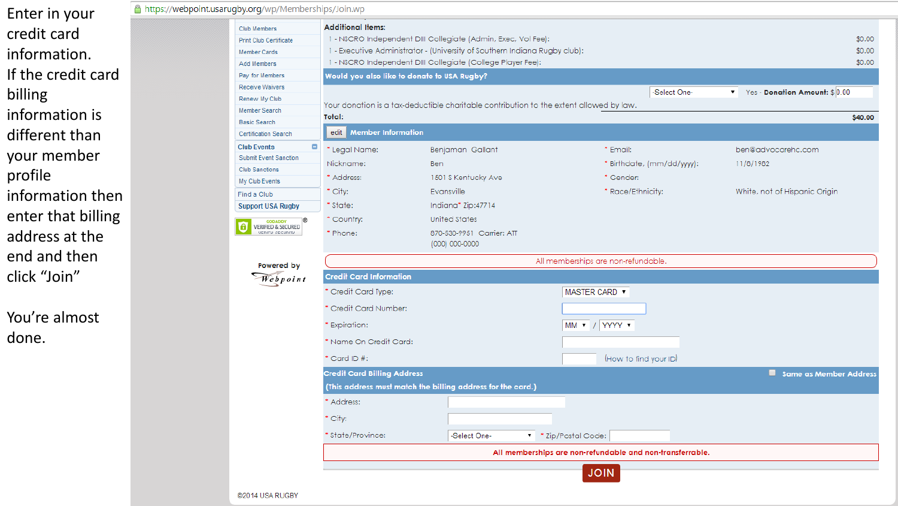Enter in your credit card information. If the credit card billing information is different than your member profile information then enter that billing address at the end and then click "Join"

You're almost done.

| A https://webpoint.usarugby.org/wp/Memberships/Join.wp                                   |                                                                                             |                                                                                                                                                                                                                                        |                                                                                                         |                                                     |                                 |  |  |  |  |
|------------------------------------------------------------------------------------------|---------------------------------------------------------------------------------------------|----------------------------------------------------------------------------------------------------------------------------------------------------------------------------------------------------------------------------------------|---------------------------------------------------------------------------------------------------------|-----------------------------------------------------|---------------------------------|--|--|--|--|
|                                                                                          | <b>Club Members</b><br><b>Print Club Certificate</b><br><b>Member Cards</b><br>Add Members  | <b>Additional Items:</b><br>1 - NSCRO Independent DIII Collegiate (Admin, Exec, Vol Fee):<br>1 - Executive Administrator - (University of Southern Indiana Rugby club):<br>1 - NSCRO Independent DIII Collegiate (College Player Fee): | \$0.00<br>\$0.00<br>\$0.00                                                                              |                                                     |                                 |  |  |  |  |
|                                                                                          | Pay for Members                                                                             |                                                                                                                                                                                                                                        | Would you also like to donate to USA Rugby?                                                             |                                                     |                                 |  |  |  |  |
|                                                                                          | Receive Waivers<br>Renew My Club<br>Member Search<br><b>Basic Search</b>                    | Total:                                                                                                                                                                                                                                 | -Select One-<br>Your donation is a tax-deductible charitable contribution to the extent allowed by law. |                                                     |                                 |  |  |  |  |
|                                                                                          | <b>Certification Search</b>                                                                 | edit Member Information                                                                                                                                                                                                                |                                                                                                         |                                                     |                                 |  |  |  |  |
|                                                                                          | <b>Club Events</b><br>۰<br>Submit Event Sanction<br><b>Club Sanctions</b><br>My Club Events | * Legal Name:<br>Nickname:<br>* Address:                                                                                                                                                                                               | Benjaman Gallant<br><b>Ben</b><br>1501 S Kentucky Ave                                                   | * Email:<br>* Birthdate, (mm/dd/yyyy):<br>* Gender: | ben@advocarehc.com<br>11/8/1982 |  |  |  |  |
|                                                                                          | Find a Club                                                                                 | $^*$ City:                                                                                                                                                                                                                             | Evansville                                                                                              | * Race/Ethnicity:                                   | White, not of Hispanic Origin   |  |  |  |  |
| <b>Support USA Rugby</b><br>GODADDY<br>VERIFIED & SECURED<br>VERIFY SECURITY<br>$\bf{a}$ |                                                                                             | * State:<br>* Country:<br>' Phone:                                                                                                                                                                                                     | Indiana* Zip:47714<br>United States<br>870-530-9951 Carrier: ATT<br>(000) 000-0000                      |                                                     |                                 |  |  |  |  |
|                                                                                          | Powered by                                                                                  | All memberships are non-refundable.                                                                                                                                                                                                    |                                                                                                         |                                                     |                                 |  |  |  |  |
|                                                                                          | Webpoint                                                                                    | <b>Credit Card Information</b>                                                                                                                                                                                                         |                                                                                                         |                                                     |                                 |  |  |  |  |
|                                                                                          |                                                                                             | Credit Card Type:                                                                                                                                                                                                                      |                                                                                                         | MASTER CARD <b>v</b>                                |                                 |  |  |  |  |
|                                                                                          |                                                                                             | Credit Card Number:                                                                                                                                                                                                                    |                                                                                                         |                                                     |                                 |  |  |  |  |
|                                                                                          |                                                                                             | Expiration:                                                                                                                                                                                                                            |                                                                                                         | MM V / YYYY V                                       |                                 |  |  |  |  |
|                                                                                          |                                                                                             | * Name On Credit Card:                                                                                                                                                                                                                 |                                                                                                         |                                                     |                                 |  |  |  |  |
|                                                                                          |                                                                                             | $^*$ Card ID #:                                                                                                                                                                                                                        |                                                                                                         | (How to find your ID)                               |                                 |  |  |  |  |
|                                                                                          |                                                                                             | <b>Credit Card Billing Address</b>                                                                                                                                                                                                     |                                                                                                         |                                                     |                                 |  |  |  |  |
|                                                                                          |                                                                                             |                                                                                                                                                                                                                                        | (This address must match the billing address for the card.)                                             |                                                     |                                 |  |  |  |  |
|                                                                                          |                                                                                             | Address:                                                                                                                                                                                                                               |                                                                                                         |                                                     |                                 |  |  |  |  |
|                                                                                          |                                                                                             | $^*$ City:                                                                                                                                                                                                                             |                                                                                                         |                                                     |                                 |  |  |  |  |
|                                                                                          |                                                                                             | * State/Province:                                                                                                                                                                                                                      | -Select One-                                                                                            | ▼ * Zip/Postal Code:                                |                                 |  |  |  |  |
|                                                                                          |                                                                                             | All memberships are non-refundable and non-transferrable.                                                                                                                                                                              |                                                                                                         |                                                     |                                 |  |  |  |  |
|                                                                                          | @2014 USA RUGBY                                                                             |                                                                                                                                                                                                                                        |                                                                                                         | <b>JOIN</b>                                         |                                 |  |  |  |  |